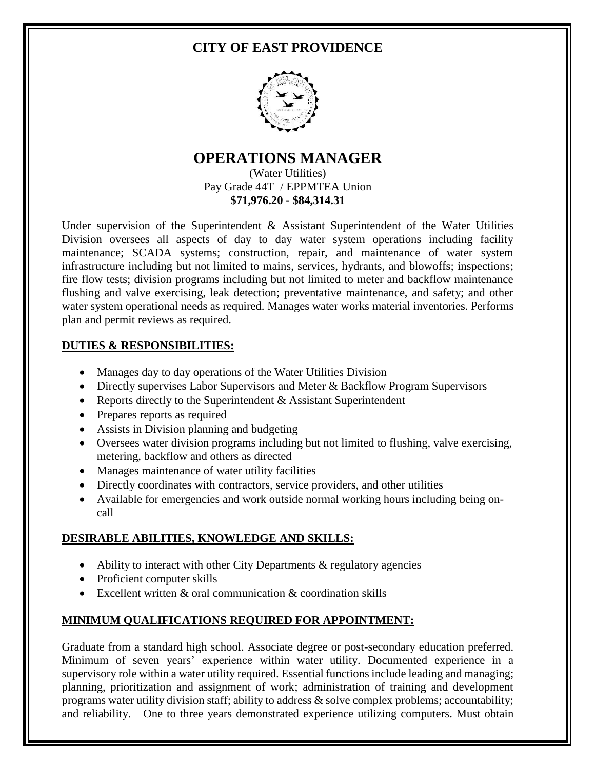# **CITY OF EAST PROVIDENCE**



## **OPERATIONS MANAGER** (Water Utilities)

Pay Grade 44T / EPPMTEA Union **\$71,976.20 - \$84,314.31**

Under supervision of the Superintendent & Assistant Superintendent of the Water Utilities Division oversees all aspects of day to day water system operations including facility maintenance; SCADA systems; construction, repair, and maintenance of water system infrastructure including but not limited to mains, services, hydrants, and blowoffs; inspections; fire flow tests; division programs including but not limited to meter and backflow maintenance flushing and valve exercising, leak detection; preventative maintenance, and safety; and other water system operational needs as required. Manages water works material inventories. Performs plan and permit reviews as required.

## **DUTIES & RESPONSIBILITIES:**

- Manages day to day operations of the Water Utilities Division
- Directly supervises Labor Supervisors and Meter & Backflow Program Supervisors
- Reports directly to the Superintendent  $&$  Assistant Superintendent
- Prepares reports as required
- Assists in Division planning and budgeting
- Oversees water division programs including but not limited to flushing, valve exercising, metering, backflow and others as directed
- Manages maintenance of water utility facilities
- Directly coordinates with contractors, service providers, and other utilities
- Available for emergencies and work outside normal working hours including being oncall

# **DESIRABLE ABILITIES, KNOWLEDGE AND SKILLS:**

- $\bullet$  Ability to interact with other City Departments & regulatory agencies
- Proficient computer skills
- Excellent written  $&$  oral communication  $&$  coordination skills

# **MINIMUM QUALIFICATIONS REQUIRED FOR APPOINTMENT:**

Graduate from a standard high school. Associate degree or post-secondary education preferred. Minimum of seven years' experience within water utility. Documented experience in a supervisory role within a water utility required. Essential functions include leading and managing; planning, prioritization and assignment of work; administration of training and development programs water utility division staff; ability to address & solve complex problems; accountability; and reliability. One to three years demonstrated experience utilizing computers. Must obtain